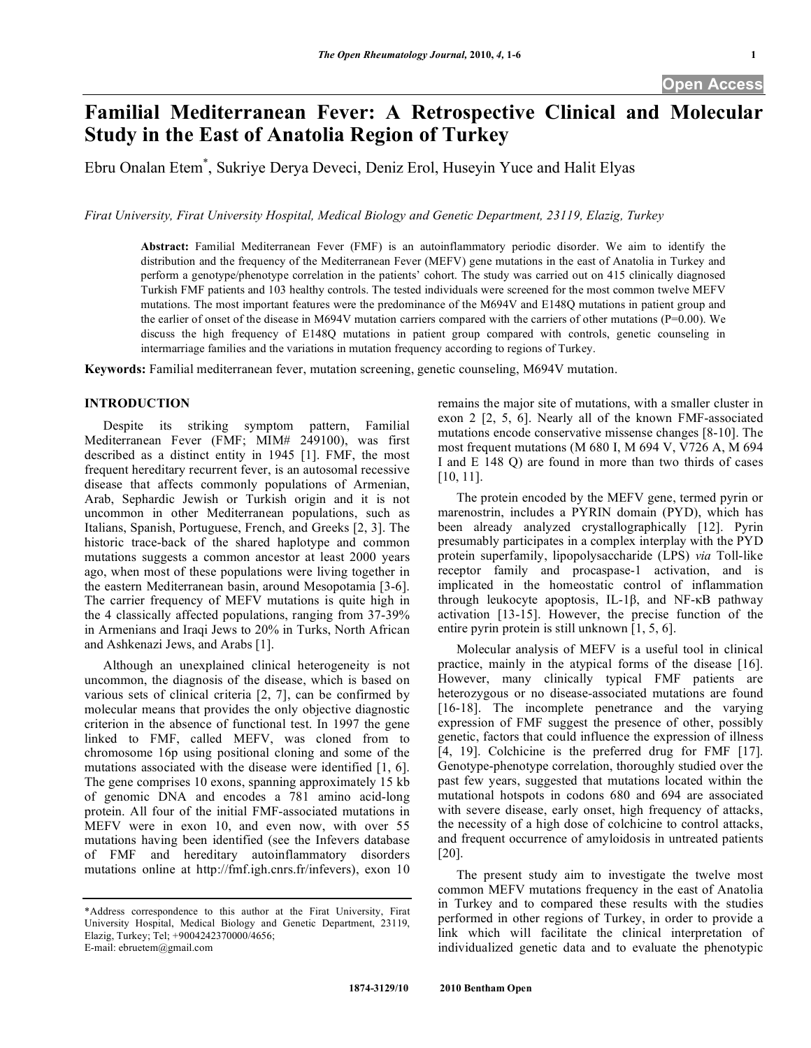# **Familial Mediterranean Fever: A Retrospective Clinical and Molecular Study in the East of Anatolia Region of Turkey**

Ebru Onalan Etem\* , Sukriye Derya Deveci, Deniz Erol, Huseyin Yuce and Halit Elyas

*Firat University, Firat University Hospital, Medical Biology and Genetic Department, 23119, Elazig, Turkey*

**Abstract:** Familial Mediterranean Fever (FMF) is an autoinflammatory periodic disorder. We aim to identify the distribution and the frequency of the Mediterranean Fever (MEFV) gene mutations in the east of Anatolia in Turkey and perform a genotype/phenotype correlation in the patients' cohort. The study was carried out on 415 clinically diagnosed Turkish FMF patients and 103 healthy controls. The tested individuals were screened for the most common twelve MEFV mutations. The most important features were the predominance of the M694V and E148Q mutations in patient group and the earlier of onset of the disease in M694V mutation carriers compared with the carriers of other mutations (P=0.00). We discuss the high frequency of E148Q mutations in patient group compared with controls, genetic counseling in intermarriage families and the variations in mutation frequency according to regions of Turkey.

**Keywords:** Familial mediterranean fever, mutation screening, genetic counseling, M694V mutation.

# **INTRODUCTION**

 Despite its striking symptom pattern, Familial Mediterranean Fever (FMF; MIM# 249100), was first described as a distinct entity in 1945 [1]. FMF, the most frequent hereditary recurrent fever, is an autosomal recessive disease that affects commonly populations of Armenian, Arab, Sephardic Jewish or Turkish origin and it is not uncommon in other Mediterranean populations, such as Italians, Spanish, Portuguese, French, and Greeks [2, 3]. The historic trace-back of the shared haplotype and common mutations suggests a common ancestor at least 2000 years ago, when most of these populations were living together in the eastern Mediterranean basin, around Mesopotamia [3-6]. The carrier frequency of MEFV mutations is quite high in the 4 classically affected populations, ranging from 37-39% in Armenians and Iraqi Jews to 20% in Turks, North African and Ashkenazi Jews, and Arabs [1].

 Although an unexplained clinical heterogeneity is not uncommon, the diagnosis of the disease, which is based on various sets of clinical criteria [2, 7], can be confirmed by molecular means that provides the only objective diagnostic criterion in the absence of functional test. In 1997 the gene linked to FMF, called MEFV, was cloned from to chromosome 16p using positional cloning and some of the mutations associated with the disease were identified [1, 6]. The gene comprises 10 exons, spanning approximately 15 kb of genomic DNA and encodes a 781 amino acid-long protein. All four of the initial FMF-associated mutations in MEFV were in exon 10, and even now, with over 55 mutations having been identified (see the Infevers database of FMF and hereditary autoinflammatory disorders mutations online at http://fmf.igh.cnrs.fr/infevers), exon 10

remains the major site of mutations, with a smaller cluster in exon 2 [2, 5, 6]. Nearly all of the known FMF-associated mutations encode conservative missense changes [8-10]. The most frequent mutations (M 680 I, M 694 V, V726 A, M 694 I and E 148 Q) are found in more than two thirds of cases [10, 11].

 The protein encoded by the MEFV gene, termed pyrin or marenostrin, includes a PYRIN domain (PYD), which has been already analyzed crystallographically [12]. Pyrin presumably participates in a complex interplay with the PYD protein superfamily, lipopolysaccharide (LPS) *via* Toll-like receptor family and procaspase-1 activation, and is implicated in the homeostatic control of inflammation through leukocyte apoptosis, IL-1 $\beta$ , and NF- $\kappa$ B pathway activation [13-15]. However, the precise function of the entire pyrin protein is still unknown [1, 5, 6].

 Molecular analysis of MEFV is a useful tool in clinical practice, mainly in the atypical forms of the disease [16]. However, many clinically typical FMF patients are heterozygous or no disease-associated mutations are found [16-18]. The incomplete penetrance and the varying expression of FMF suggest the presence of other, possibly genetic, factors that could influence the expression of illness [4, 19]. Colchicine is the preferred drug for FMF [17]. Genotype-phenotype correlation, thoroughly studied over the past few years, suggested that mutations located within the mutational hotspots in codons 680 and 694 are associated with severe disease, early onset, high frequency of attacks, the necessity of a high dose of colchicine to control attacks, and frequent occurrence of amyloidosis in untreated patients [20].

 The present study aim to investigate the twelve most common MEFV mutations frequency in the east of Anatolia in Turkey and to compared these results with the studies performed in other regions of Turkey, in order to provide a link which will facilitate the clinical interpretation of individualized genetic data and to evaluate the phenotypic

<sup>\*</sup>Address correspondence to this author at the Firat University, Firat University Hospital, Medical Biology and Genetic Department, 23119, Elazig, Turkey; Tel; +9004242370000/4656; E-mail: ebruetem@gmail.com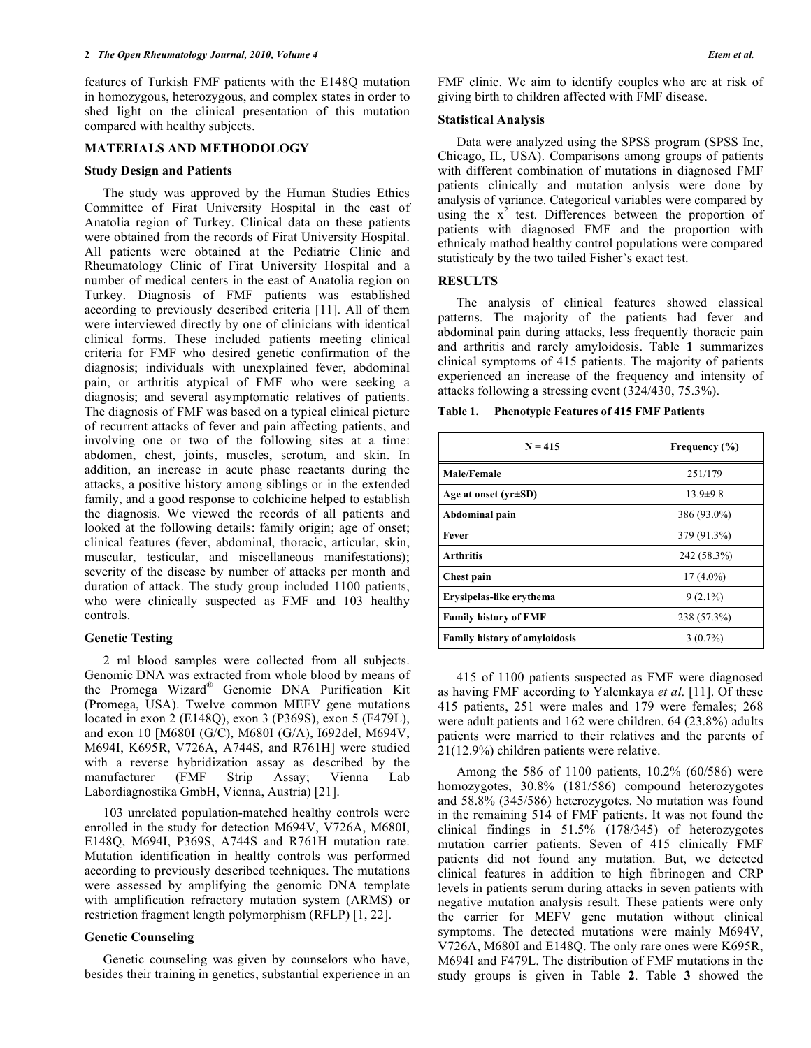features of Turkish FMF patients with the E148Q mutation in homozygous, heterozygous, and complex states in order to shed light on the clinical presentation of this mutation compared with healthy subjects.

### **MATERIALS AND METHODOLOGY**

#### **Study Design and Patients**

 The study was approved by the Human Studies Ethics Committee of Firat University Hospital in the east of Anatolia region of Turkey. Clinical data on these patients were obtained from the records of Firat University Hospital. All patients were obtained at the Pediatric Clinic and Rheumatology Clinic of Firat University Hospital and a number of medical centers in the east of Anatolia region on Turkey. Diagnosis of FMF patients was established according to previously described criteria [11]. All of them were interviewed directly by one of clinicians with identical clinical forms. These included patients meeting clinical criteria for FMF who desired genetic confirmation of the diagnosis; individuals with unexplained fever, abdominal pain, or arthritis atypical of FMF who were seeking a diagnosis; and several asymptomatic relatives of patients. The diagnosis of FMF was based on a typical clinical picture of recurrent attacks of fever and pain affecting patients, and involving one or two of the following sites at a time: abdomen, chest, joints, muscles, scrotum, and skin. In addition, an increase in acute phase reactants during the attacks, a positive history among siblings or in the extended family, and a good response to colchicine helped to establish the diagnosis. We viewed the records of all patients and looked at the following details: family origin; age of onset; clinical features (fever, abdominal, thoracic, articular, skin, muscular, testicular, and miscellaneous manifestations); severity of the disease by number of attacks per month and duration of attack. The study group included 1100 patients, who were clinically suspected as FMF and 103 healthy controls.

### **Genetic Testing**

 2 ml blood samples were collected from all subjects. Genomic DNA was extracted from whole blood by means of the Promega Wizard® Genomic DNA Purification Kit (Promega, USA). Twelve common MEFV gene mutations located in exon 2 (E148Q), exon 3 (P369S), exon 5 (F479L), and exon 10 [M680I (G/C), M680I (G/A), I692del, M694V, M694I, K695R, V726A, A744S, and R761H] were studied with a reverse hybridization assay as described by the manufacturer (FMF Strip Assay; Vienna Lab Labordiagnostika GmbH, Vienna, Austria) [21].

 103 unrelated population-matched healthy controls were enrolled in the study for detection M694V, V726A, M680I, E148Q, M694I, P369S, A744S and R761H mutation rate. Mutation identification in healtly controls was performed according to previously described techniques. The mutations were assessed by amplifying the genomic DNA template with amplification refractory mutation system (ARMS) or restriction fragment length polymorphism (RFLP) [1, 22].

## **Genetic Counseling**

 Genetic counseling was given by counselors who have, besides their training in genetics, substantial experience in an FMF clinic. We aim to identify couples who are at risk of giving birth to children affected with FMF disease.

#### **Statistical Analysis**

 Data were analyzed using the SPSS program (SPSS Inc, Chicago, IL, USA). Comparisons among groups of patients with different combination of mutations in diagnosed FMF patients clinically and mutation anlysis were done by analysis of variance. Categorical variables were compared by using the  $x^2$  test. Differences between the proportion of patients with diagnosed FMF and the proportion with ethnicaly mathod healthy control populations were compared statisticaly by the two tailed Fisher's exact test.

#### **RESULTS**

 The analysis of clinical features showed classical patterns. The majority of the patients had fever and abdominal pain during attacks, less frequently thoracic pain and arthritis and rarely amyloidosis. Table **1** summarizes clinical symptoms of 415 patients. The majority of patients experienced an increase of the frequency and intensity of attacks following a stressing event (324/430, 75.3%).

| <b>Phenotypic Features of 415 FMF Patients</b><br>Table 1. |  |  |  |
|------------------------------------------------------------|--|--|--|
|------------------------------------------------------------|--|--|--|

| $N = 415$                            | Frequency (%)  |  |  |  |
|--------------------------------------|----------------|--|--|--|
| <b>Male/Female</b>                   | 251/179        |  |  |  |
| Age at onset $(yr \pm SD)$           | $13.9 \pm 9.8$ |  |  |  |
| Abdominal pain                       | 386 (93.0%)    |  |  |  |
| Fever                                | 379 (91.3%)    |  |  |  |
| <b>Arthritis</b>                     | 242 (58.3%)    |  |  |  |
| Chest pain                           | $17(4.0\%)$    |  |  |  |
| Erysipelas-like erythema             | $9(2.1\%)$     |  |  |  |
| <b>Family history of FMF</b>         | 238 (57.3%)    |  |  |  |
| <b>Family history of amyloidosis</b> | $3(0.7\%)$     |  |  |  |

 415 of 1100 patients suspected as FMF were diagnosed as having FMF according to Yalcınkaya *et al*. [11]. Of these 415 patients, 251 were males and 179 were females; 268 were adult patients and 162 were children. 64 (23.8%) adults patients were married to their relatives and the parents of 21(12.9%) children patients were relative.

 Among the 586 of 1100 patients, 10.2% (60/586) were homozygotes, 30.8% (181/586) compound heterozygotes and 58.8% (345/586) heterozygotes. No mutation was found in the remaining 514 of FMF patients. It was not found the clinical findings in 51.5% (178/345) of heterozygotes mutation carrier patients. Seven of 415 clinically FMF patients did not found any mutation. But, we detected clinical features in addition to high fibrinogen and CRP levels in patients serum during attacks in seven patients with negative mutation analysis result. These patients were only the carrier for MEFV gene mutation without clinical symptoms. The detected mutations were mainly M694V, V726A, M680I and E148Q. The only rare ones were K695R, M694I and F479L. The distribution of FMF mutations in the study groups is given in Table **2**. Table **3** showed the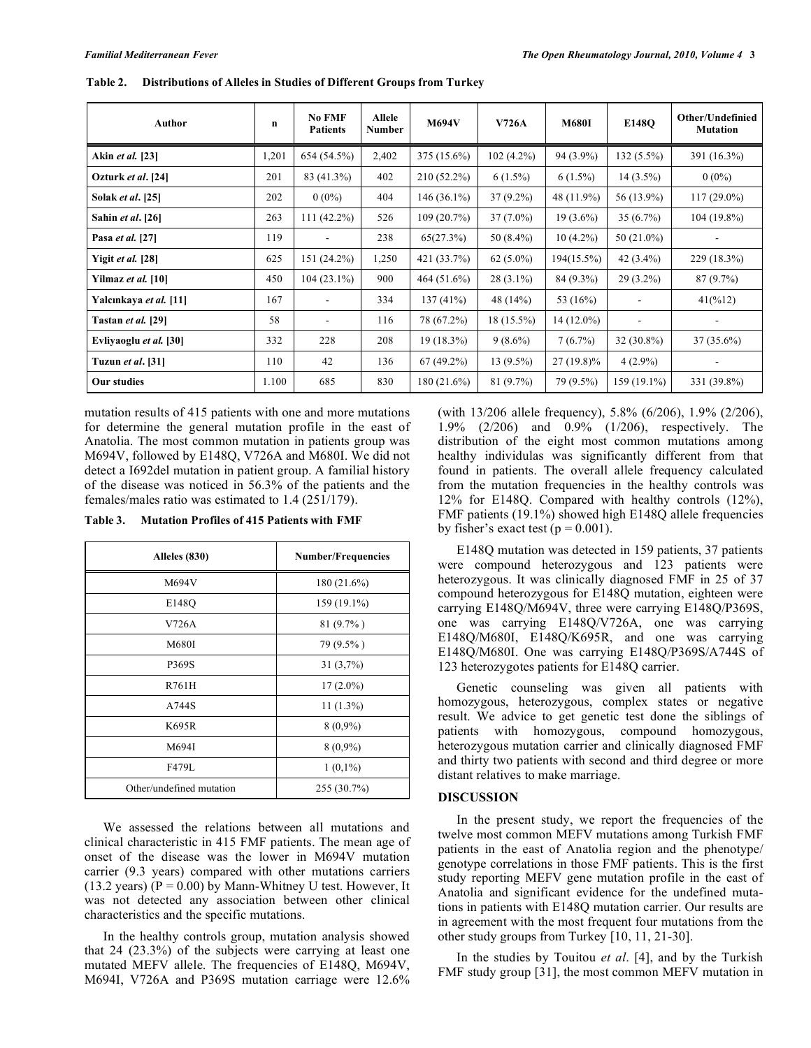| Author                    | $\mathbf n$ | <b>No FMF</b><br><b>Patients</b> | Allele<br>Number | <b>M694V</b>  | <b>V726A</b> | <b>M680I</b> | E148O                        | Other/Undefinied<br><b>Mutation</b> |
|---------------------------|-------------|----------------------------------|------------------|---------------|--------------|--------------|------------------------------|-------------------------------------|
| Akin et al. [23]          | 1,201       | 654 (54.5%)                      | 2,402            | 375 (15.6%)   | $102(4.2\%)$ | 94 (3.9%)    | 132 (5.5%)                   | 391 (16.3%)                         |
| Ozturk et al. [24]        | 201         | 83 (41.3%)                       | 402              | $210(52.2\%)$ | $6(1.5\%)$   | $6(1.5\%)$   | $14(3.5\%)$                  | $0(0\%)$                            |
| Solak <i>et al.</i> [25]  | 202         | $0(0\%)$                         | 404              | $146(36.1\%)$ | $37(9.2\%)$  | 48 (11.9%)   | 56 (13.9%)                   | $117(29.0\%)$                       |
| Sahin et al. [26]         | 263         | $111(42.2\%)$                    | 526              | 109(20.7%)    | $37(7.0\%)$  | $19(3.6\%)$  | $35(6.7\%)$                  | 104 (19.8%)                         |
| Pasa et al. [27]          | 119         |                                  | 238              | 65(27.3%)     | $50(8.4\%)$  | $10(4.2\%)$  | 50 (21.0%)                   |                                     |
| Yigit et al. [28]         | 625         | 151 (24.2%)                      | 1,250            | 421 (33.7%)   | $62(5.0\%)$  | 194(15.5%)   | $42(3.4\%)$                  | 229 (18.3%)                         |
| Yilmaz <i>et al.</i> [10] | 450         | $104(23.1\%)$                    | 900              | 464(51.6%)    | $28(3.1\%)$  | 84 (9.3%)    | $29(3.2\%)$                  | 87(9.7%)                            |
| Yalcınkaya et al. [11]    | 167         |                                  | 334              | 137(41%)      | 48 (14%)     | 53 (16%)     |                              | 41(%12)                             |
| Tastan et al. [29]        | 58          | $\qquad \qquad \blacksquare$     | 116              | 78 (67.2%)    | 18 (15.5%)   | $14(12.0\%)$ | $\qquad \qquad \blacksquare$ |                                     |
| Evliyaoglu et al. [30]    | 332         | 228                              | 208              | $19(18.3\%)$  | $9(8.6\%)$   | 7(6.7%)      | $32(30.8\%)$                 | $37(35.6\%)$                        |
| Tuzun <i>et al</i> . [31] | 110         | 42                               | 136              | $67(49.2\%)$  | $13(9.5\%)$  | $27(19.8)\%$ | $4(2.9\%)$                   |                                     |
| Our studies               | 1.100       | 685                              | 830              | 180(21.6%)    | 81(9.7%)     | 79 (9.5%)    | 159 (19.1%)                  | 331 (39.8%)                         |

**Table 2. Distributions of Alleles in Studies of Different Groups from Turkey** 

mutation results of 415 patients with one and more mutations for determine the general mutation profile in the east of Anatolia. The most common mutation in patients group was M694V, followed by E148Q, V726A and M680I. We did not detect a I692del mutation in patient group. A familial history of the disease was noticed in 56.3% of the patients and the females/males ratio was estimated to 1.4 (251/179).

**Table 3. Mutation Profiles of 415 Patients with FMF** 

| Alleles (830)            | <b>Number/Frequencies</b> |  |  |  |
|--------------------------|---------------------------|--|--|--|
| M694V                    | 180(21.6%)                |  |  |  |
| E148O                    | 159 (19.1%)               |  |  |  |
| V726A                    | $81(9.7\%)$               |  |  |  |
| M680I                    | 79 (9.5%)                 |  |  |  |
| P369S                    | 31(3,7%)                  |  |  |  |
| R761H                    | $17(2.0\%)$               |  |  |  |
| A744S                    | $11(1.3\%)$               |  |  |  |
| K695R                    | $8(0,9\%)$                |  |  |  |
| M694I                    | $8(0,9\%)$                |  |  |  |
| F479L                    | $1(0,1\%)$                |  |  |  |
| Other/undefined mutation | 255 (30.7%)               |  |  |  |

 We assessed the relations between all mutations and clinical characteristic in 415 FMF patients. The mean age of onset of the disease was the lower in M694V mutation carrier (9.3 years) compared with other mutations carriers (13.2 years) ( $P = 0.00$ ) by Mann-Whitney U test. However, It was not detected any association between other clinical characteristics and the specific mutations.

 In the healthy controls group, mutation analysis showed that 24 (23.3%) of the subjects were carrying at least one mutated MEFV allele. The frequencies of E148Q, M694V, M694I, V726A and P369S mutation carriage were 12.6% (with 13/206 allele frequency), 5.8% (6/206), 1.9% (2/206), 1.9% (2/206) and 0.9% (1/206), respectively. The distribution of the eight most common mutations among healthy individulas was significantly different from that found in patients. The overall allele frequency calculated from the mutation frequencies in the healthy controls was 12% for E148Q. Compared with healthy controls (12%), FMF patients (19.1%) showed high E148Q allele frequencies by fisher's exact test ( $p = 0.001$ ).

 E148Q mutation was detected in 159 patients, 37 patients were compound heterozygous and 123 patients were heterozygous. It was clinically diagnosed FMF in 25 of 37 compound heterozygous for E148Q mutation, eighteen were carrying E148Q/M694V, three were carrying E148Q/P369S, one was carrying E148Q/V726A, one was carrying E148Q/M680I, E148Q/K695R, and one was carrying E148Q/M680I. One was carrying E148Q/P369S/A744S of 123 heterozygotes patients for E148Q carrier.

 Genetic counseling was given all patients with homozygous, heterozygous, complex states or negative result. We advice to get genetic test done the siblings of patients with homozygous, compound homozygous, heterozygous mutation carrier and clinically diagnosed FMF and thirty two patients with second and third degree or more distant relatives to make marriage.

## **DISCUSSION**

 In the present study, we report the frequencies of the twelve most common MEFV mutations among Turkish FMF patients in the east of Anatolia region and the phenotype/ genotype correlations in those FMF patients. This is the first study reporting MEFV gene mutation profile in the east of Anatolia and significant evidence for the undefined mutations in patients with E148Q mutation carrier. Our results are in agreement with the most frequent four mutations from the other study groups from Turkey [10, 11, 21-30].

 In the studies by Touitou *et al*. [4], and by the Turkish FMF study group [31], the most common MEFV mutation in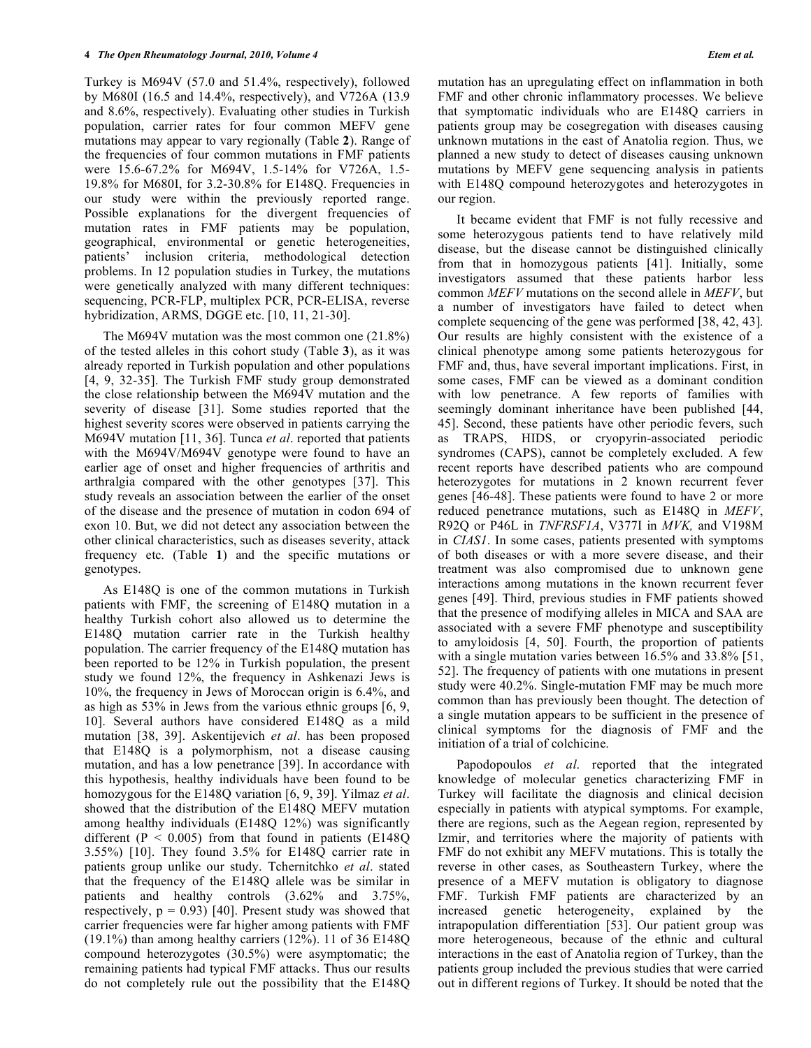Turkey is M694V (57.0 and 51.4%, respectively), followed by M680I (16.5 and 14.4%, respectively), and V726A (13.9 and 8.6%, respectively). Evaluating other studies in Turkish population, carrier rates for four common MEFV gene mutations may appear to vary regionally (Table **2**). Range of the frequencies of four common mutations in FMF patients were 15.6-67.2% for M694V, 1.5-14% for V726A, 1.5- 19.8% for M680I, for 3.2-30.8% for E148Q. Frequencies in our study were within the previously reported range. Possible explanations for the divergent frequencies of mutation rates in FMF patients may be population, geographical, environmental or genetic heterogeneities, patients' inclusion criteria, methodological detection problems. In 12 population studies in Turkey, the mutations were genetically analyzed with many different techniques: sequencing, PCR-FLP, multiplex PCR, PCR-ELISA, reverse hybridization, ARMS, DGGE etc. [10, 11, 21-30].

 The M694V mutation was the most common one (21.8%) of the tested alleles in this cohort study (Table **3**), as it was already reported in Turkish population and other populations [4, 9, 32-35]. The Turkish FMF study group demonstrated the close relationship between the M694V mutation and the severity of disease [31]. Some studies reported that the highest severity scores were observed in patients carrying the M694V mutation [11, 36]. Tunca *et al*. reported that patients with the M694V/M694V genotype were found to have an earlier age of onset and higher frequencies of arthritis and arthralgia compared with the other genotypes [37]. This study reveals an association between the earlier of the onset of the disease and the presence of mutation in codon 694 of exon 10. But, we did not detect any association between the other clinical characteristics, such as diseases severity, attack frequency etc. (Table **1**) and the specific mutations or genotypes.

 As E148Q is one of the common mutations in Turkish patients with FMF, the screening of E148Q mutation in a healthy Turkish cohort also allowed us to determine the E148Q mutation carrier rate in the Turkish healthy population. The carrier frequency of the E148Q mutation has been reported to be 12% in Turkish population, the present study we found 12%, the frequency in Ashkenazi Jews is 10%, the frequency in Jews of Moroccan origin is 6.4%, and as high as 53% in Jews from the various ethnic groups [6, 9, 10]. Several authors have considered E148Q as a mild mutation [38, 39]. Askentijevich *et al*. has been proposed that E148Q is a polymorphism, not a disease causing mutation, and has a low penetrance [39]. In accordance with this hypothesis, healthy individuals have been found to be homozygous for the E148Q variation [6, 9, 39]. Yilmaz *et al*. showed that the distribution of the E148Q MEFV mutation among healthy individuals (E148Q 12%) was significantly different ( $P < 0.005$ ) from that found in patients (E148Q) 3.55%) [10]. They found 3.5% for E148Q carrier rate in patients group unlike our study. Tchernitchko *et al*. stated that the frequency of the E148Q allele was be similar in patients and healthy controls (3.62% and 3.75%, respectively,  $p = 0.93$  [40]. Present study was showed that carrier frequencies were far higher among patients with FMF (19.1%) than among healthy carriers (12%). 11 of 36 E148Q compound heterozygotes (30.5%) were asymptomatic; the remaining patients had typical FMF attacks. Thus our results do not completely rule out the possibility that the E148Q

mutation has an upregulating effect on inflammation in both FMF and other chronic inflammatory processes. We believe that symptomatic individuals who are E148Q carriers in patients group may be cosegregation with diseases causing unknown mutations in the east of Anatolia region. Thus, we planned a new study to detect of diseases causing unknown mutations by MEFV gene sequencing analysis in patients with E148Q compound heterozygotes and heterozygotes in our region.

 It became evident that FMF is not fully recessive and some heterozygous patients tend to have relatively mild disease, but the disease cannot be distinguished clinically from that in homozygous patients [41]. Initially, some investigators assumed that these patients harbor less common *MEFV* mutations on the second allele in *MEFV*, but a number of investigators have failed to detect when complete sequencing of the gene was performed [38, 42, 43]. Our results are highly consistent with the existence of a clinical phenotype among some patients heterozygous for FMF and, thus, have several important implications. First, in some cases, FMF can be viewed as a dominant condition with low penetrance. A few reports of families with seemingly dominant inheritance have been published [44, 45]. Second, these patients have other periodic fevers, such as TRAPS, HIDS, or cryopyrin-associated periodic syndromes (CAPS), cannot be completely excluded. A few recent reports have described patients who are compound heterozygotes for mutations in 2 known recurrent fever genes [46-48]. These patients were found to have 2 or more reduced penetrance mutations, such as E148Q in *MEFV*, R92Q or P46L in *TNFRSF1A*, V377I in *MVK,* and V198M in *CIAS1*. In some cases, patients presented with symptoms of both diseases or with a more severe disease, and their treatment was also compromised due to unknown gene interactions among mutations in the known recurrent fever genes [49]. Third, previous studies in FMF patients showed that the presence of modifying alleles in MICA and SAA are associated with a severe FMF phenotype and susceptibility to amyloidosis [4, 50]. Fourth, the proportion of patients with a single mutation varies between 16.5% and 33.8% [51, 52]. The frequency of patients with one mutations in present study were 40.2%. Single-mutation FMF may be much more common than has previously been thought. The detection of a single mutation appears to be sufficient in the presence of clinical symptoms for the diagnosis of FMF and the initiation of a trial of colchicine.

 Papodopoulos *et al*. reported that the integrated knowledge of molecular genetics characterizing FMF in Turkey will facilitate the diagnosis and clinical decision especially in patients with atypical symptoms. For example, there are regions, such as the Aegean region, represented by Izmir, and territories where the majority of patients with FMF do not exhibit any MEFV mutations. This is totally the reverse in other cases, as Southeastern Turkey, where the presence of a MEFV mutation is obligatory to diagnose FMF. Turkish FMF patients are characterized by an increased genetic heterogeneity, explained by the intrapopulation differentiation [53]. Our patient group was more heterogeneous, because of the ethnic and cultural interactions in the east of Anatolia region of Turkey, than the patients group included the previous studies that were carried out in different regions of Turkey. It should be noted that the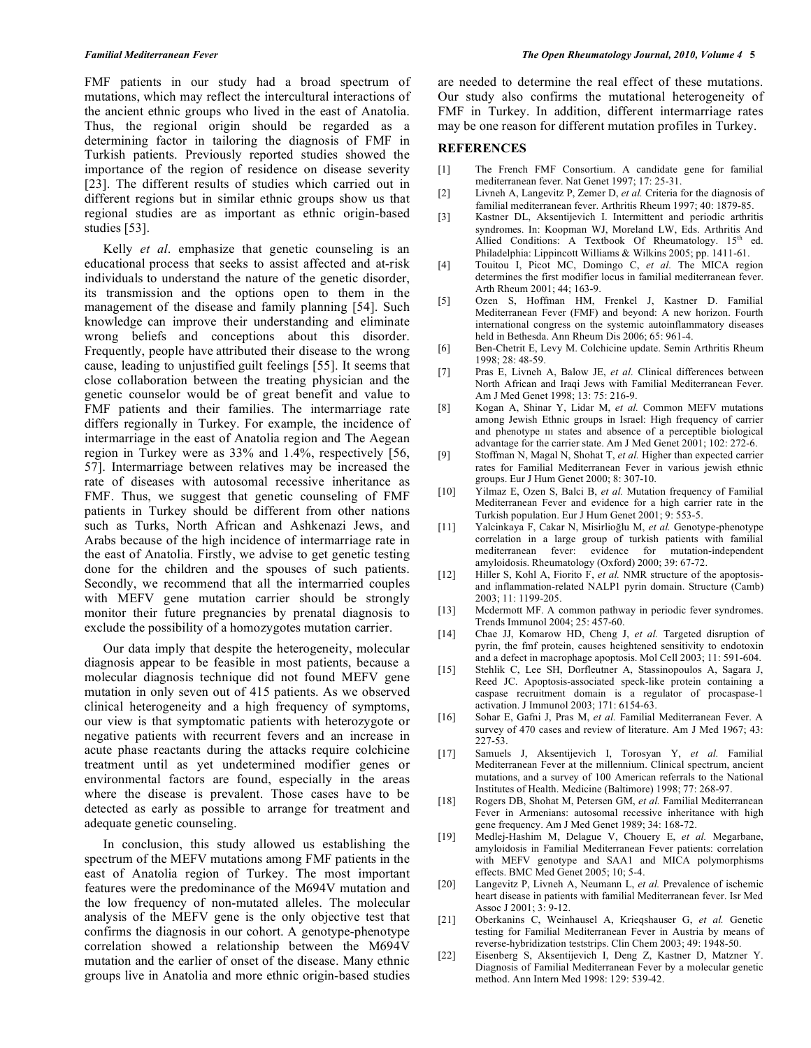FMF patients in our study had a broad spectrum of mutations, which may reflect the intercultural interactions of the ancient ethnic groups who lived in the east of Anatolia. Thus, the regional origin should be regarded as a determining factor in tailoring the diagnosis of FMF in Turkish patients. Previously reported studies showed the importance of the region of residence on disease severity [23]. The different results of studies which carried out in different regions but in similar ethnic groups show us that regional studies are as important as ethnic origin-based studies [53].

 Kelly *et al*. emphasize that genetic counseling is an educational process that seeks to assist affected and at-risk individuals to understand the nature of the genetic disorder, its transmission and the options open to them in the management of the disease and family planning [54]. Such knowledge can improve their understanding and eliminate wrong beliefs and conceptions about this disorder. Frequently, people have attributed their disease to the wrong cause, leading to unjustified guilt feelings [55]. It seems that close collaboration between the treating physician and the genetic counselor would be of great benefit and value to FMF patients and their families. The intermarriage rate differs regionally in Turkey. For example, the incidence of intermarriage in the east of Anatolia region and The Aegean region in Turkey were as 33% and 1.4%, respectively [56, 57]. Intermarriage between relatives may be increased the rate of diseases with autosomal recessive inheritance as FMF. Thus, we suggest that genetic counseling of FMF patients in Turkey should be different from other nations such as Turks, North African and Ashkenazi Jews, and Arabs because of the high incidence of intermarriage rate in the east of Anatolia. Firstly, we advise to get genetic testing done for the children and the spouses of such patients. Secondly, we recommend that all the intermarried couples with MEFV gene mutation carrier should be strongly monitor their future pregnancies by prenatal diagnosis to exclude the possibility of a homozygotes mutation carrier.

 Our data imply that despite the heterogeneity, molecular diagnosis appear to be feasible in most patients, because a molecular diagnosis technique did not found MEFV gene mutation in only seven out of 415 patients. As we observed clinical heterogeneity and a high frequency of symptoms, our view is that symptomatic patients with heterozygote or negative patients with recurrent fevers and an increase in acute phase reactants during the attacks require colchicine treatment until as yet undetermined modifier genes or environmental factors are found, especially in the areas where the disease is prevalent. Those cases have to be detected as early as possible to arrange for treatment and adequate genetic counseling.

 In conclusion, this study allowed us establishing the spectrum of the MEFV mutations among FMF patients in the east of Anatolia region of Turkey. The most important features were the predominance of the M694V mutation and the low frequency of non-mutated alleles. The molecular analysis of the MEFV gene is the only objective test that confirms the diagnosis in our cohort. A genotype-phenotype correlation showed a relationship between the M694V mutation and the earlier of onset of the disease. Many ethnic groups live in Anatolia and more ethnic origin-based studies

are needed to determine the real effect of these mutations. Our study also confirms the mutational heterogeneity of FMF in Turkey. In addition, different intermarriage rates may be one reason for different mutation profiles in Turkey.

#### **REFERENCES**

- [1] The French FMF Consortium. A candidate gene for familial mediterranean fever. Nat Genet 1997; 17: 25-31.
- [2] Livneh A, Langevitz P, Zemer D, *et al.* Criteria for the diagnosis of familial mediterranean fever. Arthritis Rheum 1997; 40: 1879-85.
- [3] Kastner DL, Aksentijevich I. Intermittent and periodic arthritis syndromes. In: Koopman WJ, Moreland LW, Eds. Arthritis And Allied Conditions: A Textbook Of Rheumatology.  $15<sup>th</sup>$  ed. Philadelphia: Lippincott Williams & Wilkins 2005; pp. 1411-61.
- [4] Touitou I, Picot MC, Domingo C, *et al.* The MICA region determines the first modifier locus in familial mediterranean fever. Arth Rheum 2001; 44; 163-9.
- [5] Ozen S, Hoffman HM, Frenkel J, Kastner D. Familial Mediterranean Fever (FMF) and beyond: A new horizon. Fourth international congress on the systemic autoinflammatory diseases held in Bethesda. Ann Rheum Dis 2006; 65: 961-4.
- [6] Ben-Chetrit E, Levy M. Colchicine update. Semin Arthritis Rheum 1998; 28: 48-59.
- [7] Pras E, Livneh A, Balow JE, *et al.* Clinical differences between North African and Iraqi Jews with Familial Mediterranean Fever. Am J Med Genet 1998; 13: 75: 216-9.
- [8] Kogan A, Shinar Y, Lidar M, *et al.* Common MEFV mutations among Jewish Ethnic groups in Israel: High frequency of carrier and phenotype ııı states and absence of a perceptible biological advantage for the carrier state. Am J Med Genet 2001; 102: 272-6.
- [9] Stoffman N, Magal N, Shohat T, *et al.* Higher than expected carrier rates for Familial Mediterranean Fever in various jewish ethnic groups. Eur J Hum Genet 2000; 8: 307-10.
- [10] Yilmaz E, Ozen S, Balci B, *et al.* Mutation frequency of Familial Mediterranean Fever and evidence for a high carrier rate in the Turkish population. Eur J Hum Genet 2001; 9: 553-5.
- [11] Yalcinkaya F, Cakar N, Misirlioğlu M, et al. Genotype-phenotype correlation in a large group of turkish patients with familial mediterranean fever: evidence for mutation-independent amyloidosis. Rheumatology (Oxford) 2000; 39: 67-72.
- [12] Hiller S, Kohl A, Fiorito F, *et al.* NMR structure of the apoptosisand inflammation-related NALP1 pyrin domain. Structure (Camb) 2003; 11: 1199-205.
- [13] Mcdermott MF. A common pathway in periodic fever syndromes. Trends Immunol 2004; 25: 457-60.
- [14] Chae JJ, Komarow HD, Cheng J, *et al.* Targeted disruption of pyrin, the fmf protein, causes heightened sensitivity to endotoxin and a defect in macrophage apoptosis. Mol Cell 2003; 11: 591-604.
- [15] Stehlik C, Lee SH, Dorfleutner A, Stassinopoulos A, Sagara J, Reed JC. Apoptosis-associated speck-like protein containing a caspase recruitment domain is a regulator of procaspase-1 activation. J Immunol 2003; 171: 6154-63.
- [16] Sohar E, Gafni J, Pras M, *et al.* Familial Mediterranean Fever. A survey of 470 cases and review of literature. Am J Med 1967; 43:  $227 - 53$
- [17] Samuels J, Aksentijevich I, Torosyan Y, *et al.* Familial Mediterranean Fever at the millennium. Clinical spectrum, ancient mutations, and a survey of 100 American referrals to the National Institutes of Health. Medicine (Baltimore) 1998; 77: 268-97.
- [18] Rogers DB, Shohat M, Petersen GM, *et al.* Familial Mediterranean Fever in Armenians: autosomal recessive inheritance with high gene frequency. Am J Med Genet 1989; 34: 168-72.
- [19] Medlej-Hashim M, Delague V, Chouery E, *et al.* Megarbane, amyloidosis in Familial Mediterranean Fever patients: correlation with MEFV genotype and SAA1 and MICA polymorphisms effects. BMC Med Genet 2005; 10; 5-4.
- [20] Langevitz P, Livneh A, Neumann L, *et al.* Prevalence of ischemic heart disease in patients with familial Mediterranean fever. Isr Med Assoc J 2001; 3: 9-12.
- [21] Oberkanins C, Weinhausel A, Krieqshauser G, *et al.* Genetic testing for Familial Mediterranean Fever in Austria by means of reverse-hybridization teststrips. Clin Chem 2003; 49: 1948-50.
- [22] Eisenberg S, Aksentijevich I, Deng Z, Kastner D, Matzner Y. Diagnosis of Familial Mediterranean Fever by a molecular genetic method. Ann Intern Med 1998: 129: 539-42.